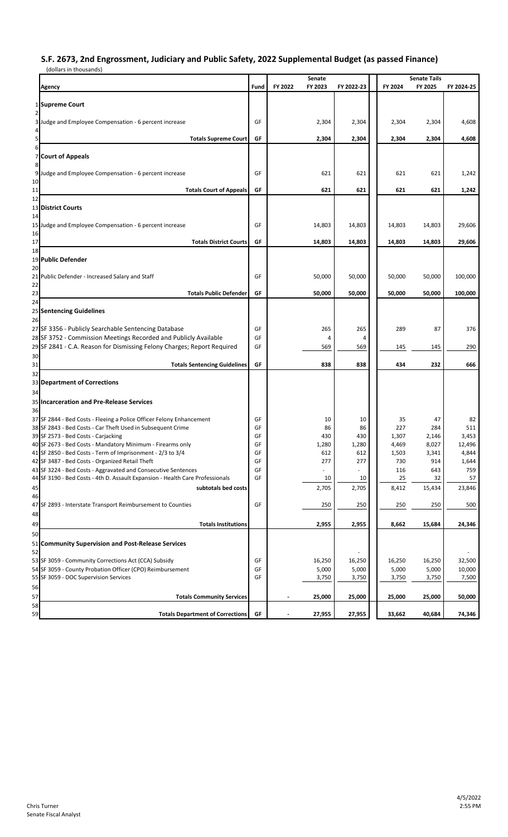## **S.F. 2673, 2nd Engrossment, Judiciary and Public Safety, 2022 Supplemental Budget (as passed Finance)**

| (dollars in thousands)                                                                                                   |          |                              |              |                |                                |                 |
|--------------------------------------------------------------------------------------------------------------------------|----------|------------------------------|--------------|----------------|--------------------------------|-----------------|
| Agency                                                                                                                   | Fund     | Senate<br>FY 2023<br>FY 2022 | FY 2022-23   | FY 2024        | <b>Senate Tails</b><br>FY 2025 | FY 2024-25      |
| 1 Supreme Court                                                                                                          |          |                              |              |                |                                |                 |
| 2<br>3 Judge and Employee Compensation - 6 percent increase                                                              | GF       | 2,304                        | 2,304        | 2,304          | 2,304                          | 4,608           |
| <b>Totals Supreme Court</b>                                                                                              | GF       | 2,304                        | 2,304        | 2,304          | 2,304                          | 4,608           |
| 6<br><b>Court of Appeals</b><br>7                                                                                        |          |                              |              |                |                                |                 |
| 8<br>9<br>Judge and Employee Compensation - 6 percent increase                                                           | GF       | 621                          | 621          | 621            | 621                            | 1,242           |
| 10<br>11<br><b>Totals Court of Appeals</b>                                                                               | GF       | 621                          | 621          | 621            | 621                            | 1,242           |
| 12<br><b>District Courts</b><br>13                                                                                       |          |                              |              |                |                                |                 |
| 14<br>15 Judge and Employee Compensation - 6 percent increase                                                            | GF       | 14,803                       | 14,803       | 14,803         | 14,803                         | 29,606          |
| 16<br>17<br><b>Totals District Courts</b>                                                                                | GF       | 14,803                       | 14,803       | 14,803         | 14,803                         | 29,606          |
| 18                                                                                                                       |          |                              |              |                |                                |                 |
| 19 Public Defender                                                                                                       |          |                              |              |                |                                |                 |
| 20<br>21<br>Public Defender - Increased Salary and Staff                                                                 | GF       | 50,000                       | 50,000       | 50,000         | 50,000                         | 100,000         |
| 22<br>23<br><b>Totals Public Defender</b>                                                                                | GF       | 50,000                       | 50,000       | 50,000         | 50,000                         | 100,000         |
| 24<br>25 Sentencing Guidelines                                                                                           |          |                              |              |                |                                |                 |
| 26<br>27 SF 3356 - Publicly Searchable Sentencing Database                                                               | GF       | 265                          | 265          | 289            | 87                             | 376             |
| 28 SF 3752 - Commission Meetings Recorded and Publicly Available                                                         | GF       | 4                            | 4            |                |                                |                 |
| 29 SF 2841 - C.A. Reason for Dismissing Felony Charges; Report Required                                                  | GF       | 569                          | 569          | 145            | 145                            | 290             |
| 30<br>31<br><b>Totals Sentencing Guidelines</b>                                                                          | GF       | 838                          | 838          | 434            | 232                            | 666             |
| 32<br>33 Department of Corrections                                                                                       |          |                              |              |                |                                |                 |
| 34                                                                                                                       |          |                              |              |                |                                |                 |
| 35 Incarceration and Pre-Release Services<br>36                                                                          |          |                              |              |                |                                |                 |
| 37 SF 2844 - Bed Costs - Fleeing a Police Officer Felony Enhancement                                                     | GF       | 10                           | 10           | 35             | 47                             | 82              |
| 38 SF 2843 - Bed Costs - Car Theft Used in Subsequent Crime                                                              | GF       | 86                           | 86           | 227            | 284                            | 511             |
| 39 SF 2573 - Bed Costs - Carjacking                                                                                      | GF       | 430                          | 430          | 1,307          | 2,146                          | 3,453           |
| 40 SF 2673 - Bed Costs - Mandatory Minimum - Firearms only<br>41 SF 2850 - Bed Costs - Term of Imprisonment - 2/3 to 3/4 | GF<br>GF | 1,280                        | 1,280<br>612 | 4,469<br>1,503 | 8,027                          | 12,496<br>4,844 |
| 42 SF 3487 - Bed Costs - Organized Retail Theft                                                                          | GF       | 612<br>277                   | 277          | 730            | 3,341<br>914                   | 1,644           |
| 43 SF 3224 - Bed Costs - Aggravated and Consecutive Sentences                                                            | GF       |                              |              | 116            | 643                            | 759             |
| 44 SF 3190 - Bed Costs - 4th D. Assault Expansion - Health Care Professionals                                            | GF       | 10                           | 10           | 25             | 32                             | 57              |
| subtotals bed costs<br>45<br>46                                                                                          |          | 2,705                        | 2,705        | 8,412          | 15,434                         | 23,846          |
| 47 SF 2893 - Interstate Transport Reimbursement to Counties                                                              | GF       | 250                          | 250          | 250            | 250                            | 500             |
| 48<br>49<br><b>Totals Institutions</b>                                                                                   |          | 2,955                        | 2,955        | 8,662          | 15,684                         | 24,346          |
| 50                                                                                                                       |          |                              |              |                |                                |                 |
| 51 Community Supervision and Post-Release Services<br>52                                                                 |          |                              |              |                |                                |                 |
| 53 SF 3059 - Community Corrections Act (CCA) Subsidy                                                                     | GF       | 16,250                       | 16,250       | 16,250         | 16,250                         | 32,500          |
| 54 SF 3059 - County Probation Officer (CPO) Reimbursement                                                                | GF       | 5,000                        | 5,000        | 5,000          | 5,000                          | 10,000          |
| 55 SF 3059 - DOC Supervision Services                                                                                    | GF       | 3,750                        | 3,750        | 3,750          | 3,750                          | 7,500           |
| 56<br>57<br><b>Totals Community Services</b>                                                                             |          | 25,000                       | 25,000       | 25,000         | 25,000                         | 50,000          |
| 58                                                                                                                       |          |                              |              |                |                                |                 |
| 59<br><b>Totals Department of Corrections</b>                                                                            | GF       | 27,955                       | 27,955       | 33,662         | 40,684                         | 74,346          |